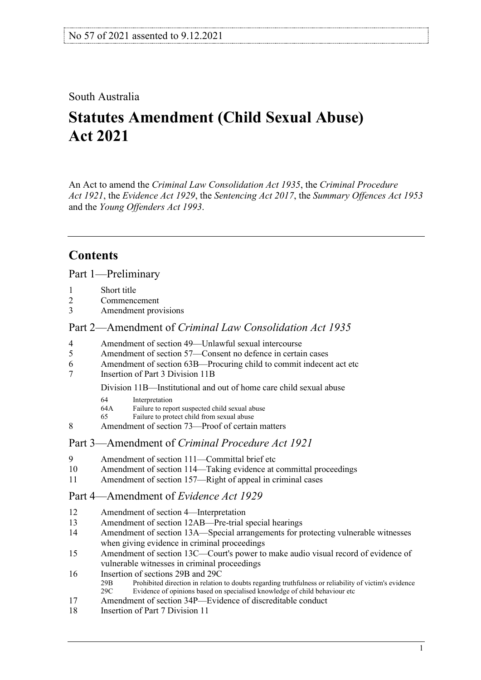### South Australia

# **Statutes Amendment (Child Sexual Abuse) Act 2021**

An Act to amend the *[Criminal Law Consolidation Act](http://www.legislation.sa.gov.au/index.aspx?action=legref&type=act&legtitle=Criminal%20Law%20Consolidation%20Act%201935) 1935*, the *[Criminal Procedure](http://www.legislation.sa.gov.au/index.aspx?action=legref&type=act&legtitle=Criminal%20Procedure%20Act%201921)  Act [1921](http://www.legislation.sa.gov.au/index.aspx?action=legref&type=act&legtitle=Criminal%20Procedure%20Act%201921)*, the *[Evidence Act](http://www.legislation.sa.gov.au/index.aspx?action=legref&type=act&legtitle=Evidence%20Act%201929) 1929*, the *[Sentencing Act](http://www.legislation.sa.gov.au/index.aspx?action=legref&type=act&legtitle=Sentencing%20Act%202017) 2017*, the *[Summary Offences Act](http://www.legislation.sa.gov.au/index.aspx?action=legref&type=act&legtitle=Summary%20Offences%20Act%201953) 1953* and the *[Young Offenders Act](http://www.legislation.sa.gov.au/index.aspx?action=legref&type=act&legtitle=Young%20Offenders%20Act%201993) 1993*.

# **Contents**

Part [1—Preliminary](#page-1-0)

- 
- 1 [Short title](#page-1-1)<br>2 Commenc **[Commencement](#page-1-2)**
- 3 [Amendment provisions](#page-1-3)

#### Part 2—Amendment of *[Criminal Law Consolidation Act](#page-1-4) 1935*

- 4 [Amendment of section 49—Unlawful sexual intercourse](#page-1-5)
- 5 [Amendment of section 57—Consent no defence in certain cases](#page-2-0)
- 6 [Amendment of section 63B—Procuring child to commit indecent act etc](#page-2-1)
- 7 [Insertion of Part 3 Division 11B](#page-2-2)

Division 11B—Institutional and out of home care child sexual abuse

- 64 Interpretation<br>64A Failure to repo
- Failure to report suspected child sexual abuse
- 65 Failure to protect child from sexual abuse
- 8 [Amendment of section 73—Proof of certain matters](#page-6-0)

### Part 3—Amendment of *[Criminal Procedure Act](#page-6-1) 1921*

- 9 [Amendment of section 111—Committal brief etc](#page-6-2)
- 10 [Amendment of section 114—Taking evidence at committal proceedings](#page-7-0)
- 11 [Amendment of section 157—Right of appeal in criminal cases](#page-7-1)

#### Part [4—Amendment of](#page-7-2) *Evidence Act 1929*

- 12 [Amendment of section 4—Interpretation](#page-7-3)
- 13 [Amendment of section 12AB—Pre-trial special hearings](#page-7-4)
- 14 [Amendment of section 13A—Special arrangements for protecting vulnerable witnesses](#page-8-0)  [when giving evidence in criminal proceedings](#page-8-0)
- 15 [Amendment of section 13C—Court's power to make audio visual record of evidence of](#page-9-0)  [vulnerable witnesses in criminal proceedings](#page-9-0)
- 16 [Insertion of sections 29B and 29C](#page-9-1)<br>29B Prohibited direction in relation
	- Prohibited direction in relation to doubts regarding truthfulness or reliability of victim's evidence 29C Evidence of opinions based on specialised knowledge of child behaviour etc
- 17 [Amendment of section 34P—Evidence of discreditable conduct](#page-10-0)
- 18 [Insertion of Part 7 Division 11](#page-10-1)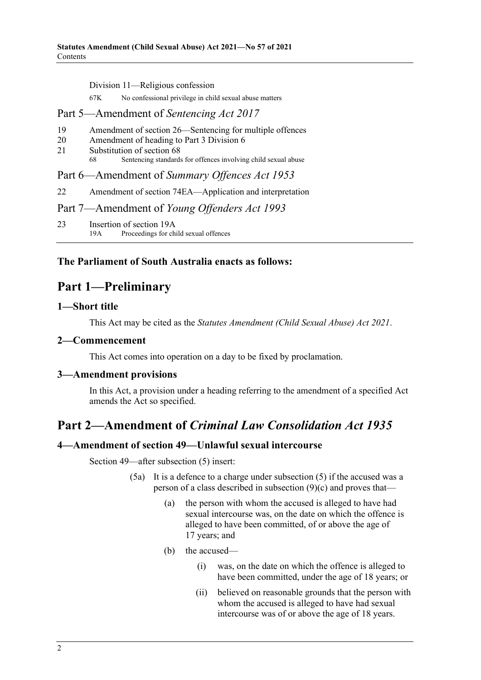Division 11—Religious confession

67K No confessional privilege in child sexual abuse matters

#### Part [5—Amendment of](#page-10-2) *Sentencing Act 2017*

- 19 [Amendment of section 26—Sentencing for multiple offences](#page-10-3)<br>20 Amendment of heading to Part 3 Division 6
- 20 [Amendment of heading to Part 3 Division 6](#page-10-4)<br>21 Substitution of section 68
- [Substitution of section 68](#page-11-0)<br>68 Septencing standard
	- Sentencing standards for offences involving child sexual abuse

### Part 6—Amendment of *[Summary Offences Act](#page-11-1) 1953*

22 [Amendment of section 74EA—Application and interpretation](#page-11-2)

#### Part 7—Amendment of *[Young Offenders Act](#page-11-3) 1993*

23 [Insertion of section 19A](#page-11-4)<br>19A Proceedings for ch Proceedings for child sexual offences

### <span id="page-1-0"></span>**The Parliament of South Australia enacts as follows:**

# **Part 1—Preliminary**

#### <span id="page-1-1"></span>**1—Short title**

This Act may be cited as the *Statutes Amendment (Child Sexual Abuse) Act 2021*.

#### <span id="page-1-2"></span>**2—Commencement**

This Act comes into operation on a day to be fixed by proclamation.

#### <span id="page-1-3"></span>**3—Amendment provisions**

In this Act, a provision under a heading referring to the amendment of a specified Act amends the Act so specified.

# <span id="page-1-4"></span>**Part 2—Amendment of** *Criminal Law Consolidation Act 1935*

#### <span id="page-1-5"></span>**4—Amendment of section 49—Unlawful sexual intercourse**

Section 49—after subsection (5) insert:

- (5a) It is a defence to a charge under subsection (5) if the accused was a person of a class described in subsection (9)(c) and proves that—
	- (a) the person with whom the accused is alleged to have had sexual intercourse was, on the date on which the offence is alleged to have been committed, of or above the age of 17 years; and
	- (b) the accused—
		- (i) was, on the date on which the offence is alleged to have been committed, under the age of 18 years; or
		- (ii) believed on reasonable grounds that the person with whom the accused is alleged to have had sexual intercourse was of or above the age of 18 years.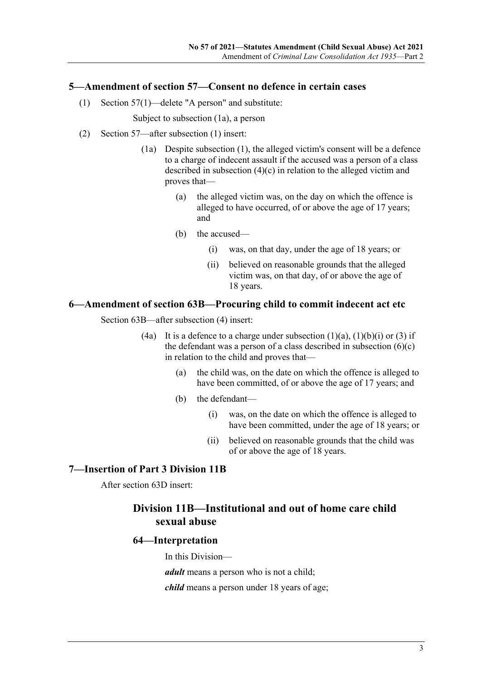#### <span id="page-2-0"></span>**5—Amendment of section 57—Consent no defence in certain cases**

(1) Section 57(1)—delete "A person" and substitute:

Subject to subsection (1a), a person

- (2) Section 57—after subsection (1) insert:
	- (1a) Despite subsection (1), the alleged victim's consent will be a defence to a charge of indecent assault if the accused was a person of a class described in subsection (4)(c) in relation to the alleged victim and proves that—
		- (a) the alleged victim was, on the day on which the offence is alleged to have occurred, of or above the age of 17 years; and
		- (b) the accused—
			- (i) was, on that day, under the age of 18 years; or
			- (ii) believed on reasonable grounds that the alleged victim was, on that day, of or above the age of 18 years.

#### <span id="page-2-1"></span>**6—Amendment of section 63B—Procuring child to commit indecent act etc**

Section 63B—after subsection (4) insert:

- (4a) It is a defence to a charge under subsection  $(1)(a)$ ,  $(1)(b)(i)$  or  $(3)$  if the defendant was a person of a class described in subsection  $(6)(c)$ in relation to the child and proves that—
	- (a) the child was, on the date on which the offence is alleged to have been committed, of or above the age of 17 years; and
	- (b) the defendant—
		- (i) was, on the date on which the offence is alleged to have been committed, under the age of 18 years; or
		- (ii) believed on reasonable grounds that the child was of or above the age of 18 years.

#### <span id="page-2-2"></span>**7—Insertion of Part 3 Division 11B**

After section 63D insert:

### **Division 11B—Institutional and out of home care child sexual abuse**

#### **64—Interpretation**

In this Division—

*adult* means a person who is not a child;

*child* means a person under 18 years of age;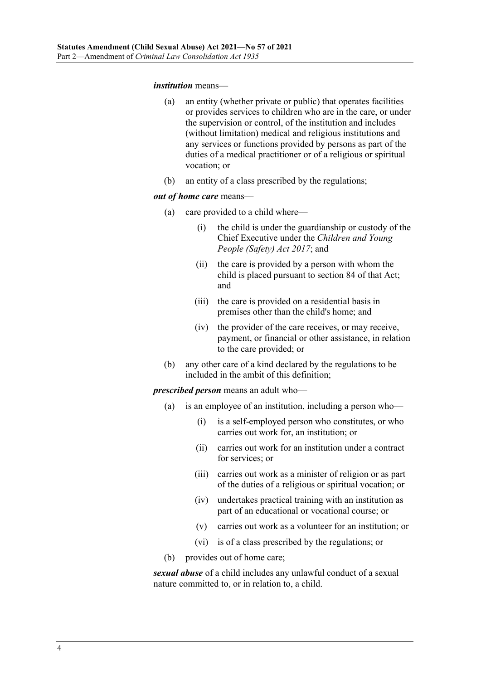#### *institution* means—

- (a) an entity (whether private or public) that operates facilities or provides services to children who are in the care, or under the supervision or control, of the institution and includes (without limitation) medical and religious institutions and any services or functions provided by persons as part of the duties of a medical practitioner or of a religious or spiritual vocation; or
- (b) an entity of a class prescribed by the regulations;

#### *out of home care* means—

- (a) care provided to a child where—
	- (i) the child is under the guardianship or custody of the Chief Executive under the *[Children and Young](http://www.legislation.sa.gov.au/index.aspx?action=legref&type=act&legtitle=Children%20and%20Young%20People%20(Safety)%20Act%202017)  [People \(Safety\) Act](http://www.legislation.sa.gov.au/index.aspx?action=legref&type=act&legtitle=Children%20and%20Young%20People%20(Safety)%20Act%202017) 2017*; and
	- (ii) the care is provided by a person with whom the child is placed pursuant to section 84 of that Act; and
	- (iii) the care is provided on a residential basis in premises other than the child's home; and
	- (iv) the provider of the care receives, or may receive, payment, or financial or other assistance, in relation to the care provided; or
- (b) any other care of a kind declared by the regulations to be included in the ambit of this definition;

*prescribed person* means an adult who—

- (a) is an employee of an institution, including a person who—
	- (i) is a self-employed person who constitutes, or who carries out work for, an institution; or
	- (ii) carries out work for an institution under a contract for services; or
	- (iii) carries out work as a minister of religion or as part of the duties of a religious or spiritual vocation; or
	- (iv) undertakes practical training with an institution as part of an educational or vocational course; or
	- (v) carries out work as a volunteer for an institution; or
	- (vi) is of a class prescribed by the regulations; or
- (b) provides out of home care;

*sexual abuse* of a child includes any unlawful conduct of a sexual nature committed to, or in relation to, a child.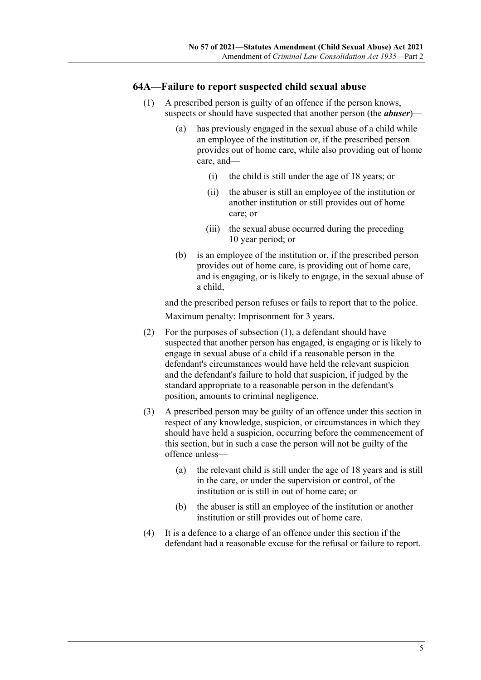#### <span id="page-4-0"></span>**64A—Failure to report suspected child sexual abuse**

- (1) A prescribed person is guilty of an offence if the person knows, suspects or should have suspected that another person (the *abuser*)—
	- (a) has previously engaged in the sexual abuse of a child while an employee of the institution or, if the prescribed person provides out of home care, while also providing out of home care, and—
		- (i) the child is still under the age of 18 years; or
		- (ii) the abuser is still an employee of the institution or another institution or still provides out of home care; or
		- (iii) the sexual abuse occurred during the preceding 10 year period; or
	- (b) is an employee of the institution or, if the prescribed person provides out of home care, is providing out of home care, and is engaging, or is likely to engage, in the sexual abuse of a child,

and the prescribed person refuses or fails to report that to the police. Maximum penalty: Imprisonment for 3 years.

- (2) For the purposes of [subsection](#page-4-0) (1), a defendant should have suspected that another person has engaged, is engaging or is likely to engage in sexual abuse of a child if a reasonable person in the defendant's circumstances would have held the relevant suspicion and the defendant's failure to hold that suspicion, if judged by the standard appropriate to a reasonable person in the defendant's position, amounts to criminal negligence.
- (3) A prescribed person may be guilty of an offence under this section in respect of any knowledge, suspicion, or circumstances in which they should have held a suspicion, occurring before the commencement of this section, but in such a case the person will not be guilty of the offence unless—
	- (a) the relevant child is still under the age of 18 years and is still in the care, or under the supervision or control, of the institution or is still in out of home care; or
	- (b) the abuser is still an employee of the institution or another institution or still provides out of home care.
- (4) It is a defence to a charge of an offence under this section if the defendant had a reasonable excuse for the refusal or failure to report.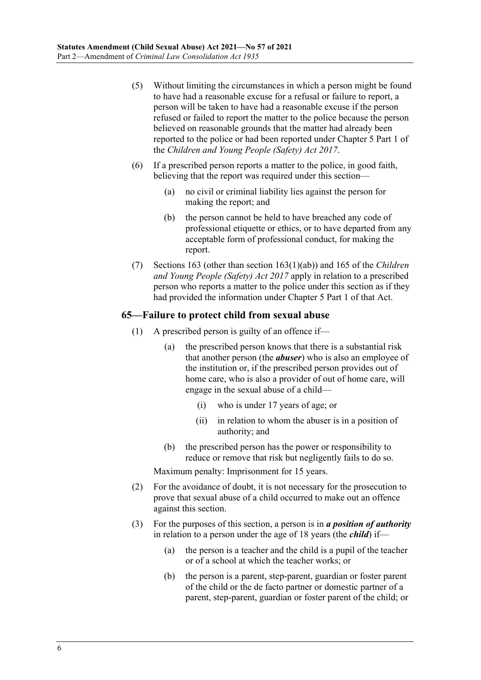- (5) Without limiting the circumstances in which a person might be found to have had a reasonable excuse for a refusal or failure to report, a person will be taken to have had a reasonable excuse if the person refused or failed to report the matter to the police because the person believed on reasonable grounds that the matter had already been reported to the police or had been reported under Chapter 5 Part 1 of the *[Children and Young People \(Safety\) Act](http://www.legislation.sa.gov.au/index.aspx?action=legref&type=act&legtitle=Children%20and%20Young%20People%20(Safety)%20Act%202017) 2017*.
- (6) If a prescribed person reports a matter to the police, in good faith, believing that the report was required under this section—
	- (a) no civil or criminal liability lies against the person for making the report; and
	- (b) the person cannot be held to have breached any code of professional etiquette or ethics, or to have departed from any acceptable form of professional conduct, for making the report.
- (7) Sections 163 (other than section 163(1)(ab)) and 165 of the *[Children](http://www.legislation.sa.gov.au/index.aspx?action=legref&type=act&legtitle=Children%20and%20Young%20People%20(Safety)%20Act%202017)  [and Young People \(Safety\) Act](http://www.legislation.sa.gov.au/index.aspx?action=legref&type=act&legtitle=Children%20and%20Young%20People%20(Safety)%20Act%202017) 2017* apply in relation to a prescribed person who reports a matter to the police under this section as if they had provided the information under Chapter 5 Part 1 of that Act.

### **65—Failure to protect child from sexual abuse**

- (1) A prescribed person is guilty of an offence if—
	- (a) the prescribed person knows that there is a substantial risk that another person (the *abuser*) who is also an employee of the institution or, if the prescribed person provides out of home care, who is also a provider of out of home care, will engage in the sexual abuse of a child—
		- (i) who is under 17 years of age; or
		- (ii) in relation to whom the abuser is in a position of authority; and
	- (b) the prescribed person has the power or responsibility to reduce or remove that risk but negligently fails to do so.

Maximum penalty: Imprisonment for 15 years.

- (2) For the avoidance of doubt, it is not necessary for the prosecution to prove that sexual abuse of a child occurred to make out an offence against this section.
- (3) For the purposes of this section, a person is in *a position of authority* in relation to a person under the age of 18 years (the *child*) if—
	- (a) the person is a teacher and the child is a pupil of the teacher or of a school at which the teacher works; or
	- (b) the person is a parent, step-parent, guardian or foster parent of the child or the de facto partner or domestic partner of a parent, step-parent, guardian or foster parent of the child; or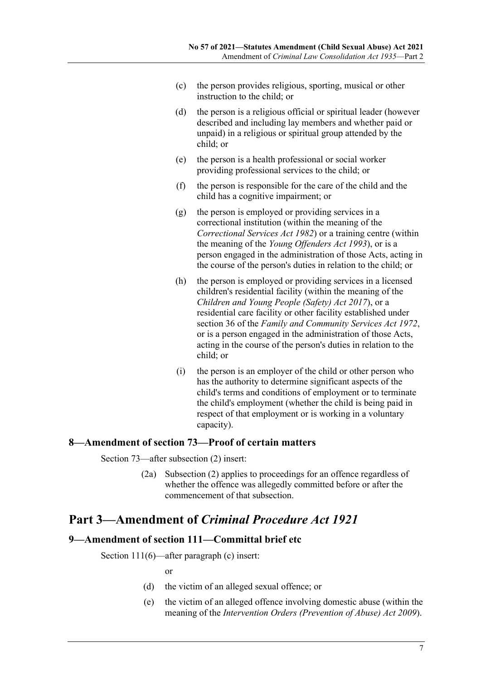- (c) the person provides religious, sporting, musical or other instruction to the child; or
- (d) the person is a religious official or spiritual leader (however described and including lay members and whether paid or unpaid) in a religious or spiritual group attended by the child; or
- (e) the person is a health professional or social worker providing professional services to the child; or
- (f) the person is responsible for the care of the child and the child has a cognitive impairment; or
- (g) the person is employed or providing services in a correctional institution (within the meaning of the *[Correctional Services Act](http://www.legislation.sa.gov.au/index.aspx?action=legref&type=act&legtitle=Correctional%20Services%20Act%201982) 1982*) or a training centre (within the meaning of the *[Young Offenders Act](http://www.legislation.sa.gov.au/index.aspx?action=legref&type=act&legtitle=Young%20Offenders%20Act%201993) 1993*), or is a person engaged in the administration of those Acts, acting in the course of the person's duties in relation to the child; or
- (h) the person is employed or providing services in a licensed children's residential facility (within the meaning of the *[Children and Young People \(Safety\) Act](http://www.legislation.sa.gov.au/index.aspx?action=legref&type=act&legtitle=Children%20and%20Young%20People%20(Safety)%20Act%202017) 2017*), or a residential care facility or other facility established under section 36 of the *[Family and Community Services Act](http://www.legislation.sa.gov.au/index.aspx?action=legref&type=act&legtitle=Family%20and%20Community%20Services%20Act%201972) 1972*, or is a person engaged in the administration of those Acts, acting in the course of the person's duties in relation to the child; or
- (i) the person is an employer of the child or other person who has the authority to determine significant aspects of the child's terms and conditions of employment or to terminate the child's employment (whether the child is being paid in respect of that employment or is working in a voluntary capacity).

#### <span id="page-6-0"></span>**8—Amendment of section 73—Proof of certain matters**

Section 73—after subsection (2) insert:

(2a) Subsection (2) applies to proceedings for an offence regardless of whether the offence was allegedly committed before or after the commencement of that subsection.

# <span id="page-6-1"></span>**Part 3—Amendment of** *Criminal Procedure Act 1921*

#### <span id="page-6-2"></span>**9—Amendment of section 111—Committal brief etc**

Section 111(6)—after paragraph (c) insert:

or

- (d) the victim of an alleged sexual offence; or
- (e) the victim of an alleged offence involving domestic abuse (within the meaning of the *[Intervention Orders \(Prevention of Abuse\) Act](http://www.legislation.sa.gov.au/index.aspx?action=legref&type=act&legtitle=Intervention%20Orders%20(Prevention%20of%20Abuse)%20Act%202009) 2009*).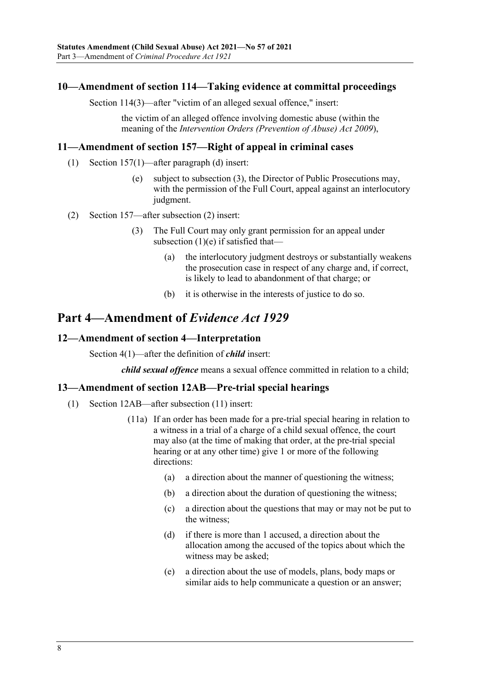#### <span id="page-7-0"></span>**10—Amendment of section 114—Taking evidence at committal proceedings**

Section 114(3)—after "victim of an alleged sexual offence," insert:

the victim of an alleged offence involving domestic abuse (within the meaning of the *[Intervention Orders \(Prevention of Abuse\) Act](http://www.legislation.sa.gov.au/index.aspx?action=legref&type=act&legtitle=Intervention%20Orders%20(Prevention%20of%20Abuse)%20Act%202009) 2009*),

#### <span id="page-7-1"></span>**11—Amendment of section 157—Right of appeal in criminal cases**

- (1) Section 157(1)—after paragraph (d) insert:
	- (e) subject to subsection (3), the Director of Public Prosecutions may, with the permission of the Full Court, appeal against an interlocutory judgment.
- (2) Section 157—after subsection (2) insert:
	- (3) The Full Court may only grant permission for an appeal under subsection (1)(e) if satisfied that—
		- (a) the interlocutory judgment destroys or substantially weakens the prosecution case in respect of any charge and, if correct, is likely to lead to abandonment of that charge; or
		- (b) it is otherwise in the interests of justice to do so.

## <span id="page-7-2"></span>**Part 4—Amendment of** *Evidence Act 1929*

### <span id="page-7-3"></span>**12—Amendment of section 4—Interpretation**

Section 4(1)—after the definition of *child* insert:

*child sexual offence* means a sexual offence committed in relation to a child;

#### <span id="page-7-4"></span>**13—Amendment of section 12AB—Pre-trial special hearings**

- (1) Section 12AB—after subsection (11) insert:
	- (11a) If an order has been made for a pre-trial special hearing in relation to a witness in a trial of a charge of a child sexual offence, the court may also (at the time of making that order, at the pre-trial special hearing or at any other time) give 1 or more of the following directions:
		- (a) a direction about the manner of questioning the witness;
		- (b) a direction about the duration of questioning the witness;
		- (c) a direction about the questions that may or may not be put to the witness;
		- (d) if there is more than 1 accused, a direction about the allocation among the accused of the topics about which the witness may be asked;
		- (e) a direction about the use of models, plans, body maps or similar aids to help communicate a question or an answer;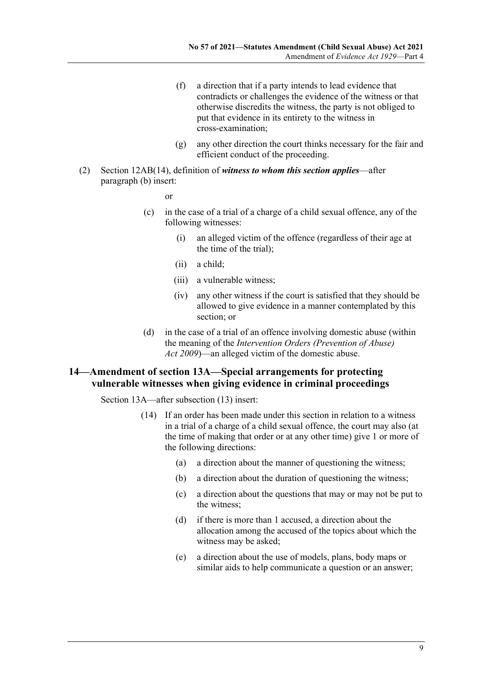- (f) a direction that if a party intends to lead evidence that contradicts or challenges the evidence of the witness or that otherwise discredits the witness, the party is not obliged to put that evidence in its entirety to the witness in cross-examination;
- (g) any other direction the court thinks necessary for the fair and efficient conduct of the proceeding.
- (2) Section 12AB(14), definition of *witness to whom this section applies*—after paragraph (b) insert:

or

- (c) in the case of a trial of a charge of a child sexual offence, any of the following witnesses:
	- (i) an alleged victim of the offence (regardless of their age at the time of the trial);
	- (ii) a child;
	- (iii) a vulnerable witness;
	- (iv) any other witness if the court is satisfied that they should be allowed to give evidence in a manner contemplated by this section; or
- (d) in the case of a trial of an offence involving domestic abuse (within the meaning of the *[Intervention Orders \(Prevention of Abuse\)](http://www.legislation.sa.gov.au/index.aspx?action=legref&type=act&legtitle=Intervention%20Orders%20(Prevention%20of%20Abuse)%20Act%202009)  Act [2009](http://www.legislation.sa.gov.au/index.aspx?action=legref&type=act&legtitle=Intervention%20Orders%20(Prevention%20of%20Abuse)%20Act%202009)*)—an alleged victim of the domestic abuse.

#### <span id="page-8-0"></span>**14—Amendment of section 13A—Special arrangements for protecting vulnerable witnesses when giving evidence in criminal proceedings**

Section 13A—after subsection (13) insert:

- (14) If an order has been made under this section in relation to a witness in a trial of a charge of a child sexual offence, the court may also (at the time of making that order or at any other time) give 1 or more of the following directions:
	- (a) a direction about the manner of questioning the witness;
	- (b) a direction about the duration of questioning the witness;
	- (c) a direction about the questions that may or may not be put to the witness;
	- (d) if there is more than 1 accused, a direction about the allocation among the accused of the topics about which the witness may be asked;
	- (e) a direction about the use of models, plans, body maps or similar aids to help communicate a question or an answer;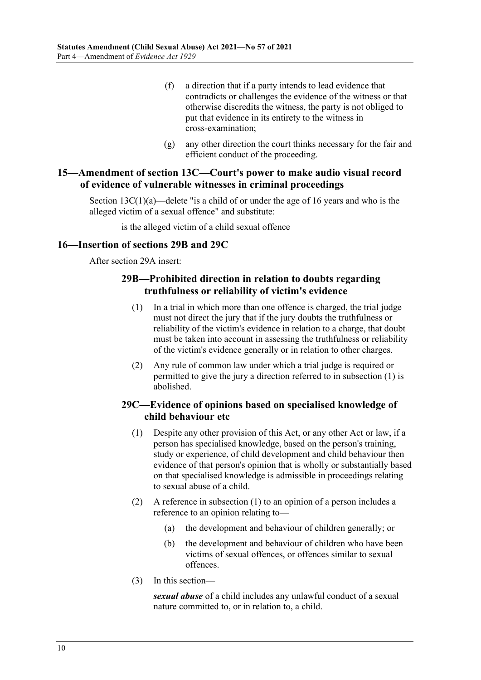- (f) a direction that if a party intends to lead evidence that contradicts or challenges the evidence of the witness or that otherwise discredits the witness, the party is not obliged to put that evidence in its entirety to the witness in cross-examination;
- (g) any other direction the court thinks necessary for the fair and efficient conduct of the proceeding.

#### <span id="page-9-0"></span>**15—Amendment of section 13C—Court's power to make audio visual record of evidence of vulnerable witnesses in criminal proceedings**

Section  $13C(1)(a)$ —delete "is a child of or under the age of 16 years and who is the alleged victim of a sexual offence" and substitute:

is the alleged victim of a child sexual offence

#### <span id="page-9-1"></span>**16—Insertion of sections 29B and 29C**

<span id="page-9-2"></span>After section 29A insert:

#### **29B—Prohibited direction in relation to doubts regarding truthfulness or reliability of victim's evidence**

- (1) In a trial in which more than one offence is charged, the trial judge must not direct the jury that if the jury doubts the truthfulness or reliability of the victim's evidence in relation to a charge, that doubt must be taken into account in assessing the truthfulness or reliability of the victim's evidence generally or in relation to other charges.
- (2) Any rule of common law under which a trial judge is required or permitted to give the jury a direction referred to in [subsection](#page-9-2) (1) is abolished.

### <span id="page-9-3"></span>**29C—Evidence of opinions based on specialised knowledge of child behaviour etc**

- (1) Despite any other provision of this Act, or any other Act or law, if a person has specialised knowledge, based on the person's training, study or experience, of child development and child behaviour then evidence of that person's opinion that is wholly or substantially based on that specialised knowledge is admissible in proceedings relating to sexual abuse of a child.
- (2) A reference in [subsection](#page-9-3) (1) to an opinion of a person includes a reference to an opinion relating to—
	- (a) the development and behaviour of children generally; or
	- (b) the development and behaviour of children who have been victims of sexual offences, or offences similar to sexual offences.
- (3) In this section—

*sexual abuse* of a child includes any unlawful conduct of a sexual nature committed to, or in relation to, a child.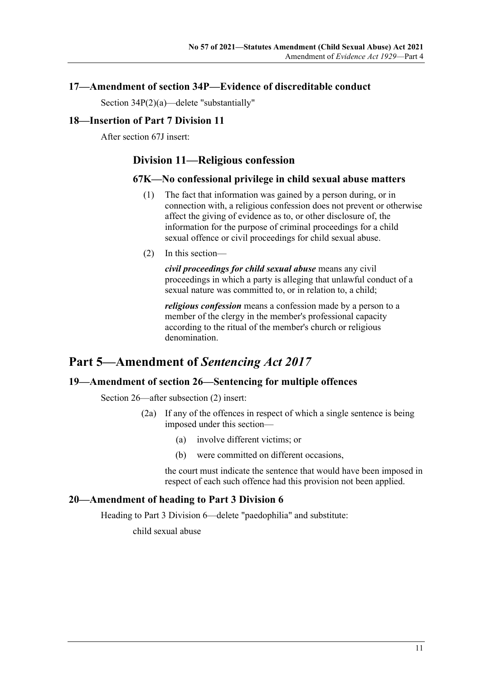#### <span id="page-10-0"></span>**17—Amendment of section 34P—Evidence of discreditable conduct**

Section 34P(2)(a)—delete "substantially"

#### <span id="page-10-1"></span>**18—Insertion of Part 7 Division 11**

After section 67J insert:

### **Division 11—Religious confession**

#### **67K—No confessional privilege in child sexual abuse matters**

- (1) The fact that information was gained by a person during, or in connection with, a religious confession does not prevent or otherwise affect the giving of evidence as to, or other disclosure of, the information for the purpose of criminal proceedings for a child sexual offence or civil proceedings for child sexual abuse.
- (2) In this section—

*civil proceedings for child sexual abuse* means any civil proceedings in which a party is alleging that unlawful conduct of a sexual nature was committed to, or in relation to, a child;

*religious confession* means a confession made by a person to a member of the clergy in the member's professional capacity according to the ritual of the member's church or religious denomination.

# <span id="page-10-2"></span>**Part 5—Amendment of** *Sentencing Act 2017*

#### <span id="page-10-3"></span>**19—Amendment of section 26—Sentencing for multiple offences**

Section 26—after subsection (2) insert:

- (2a) If any of the offences in respect of which a single sentence is being imposed under this section—
	- (a) involve different victims; or
	- (b) were committed on different occasions,

the court must indicate the sentence that would have been imposed in respect of each such offence had this provision not been applied.

#### <span id="page-10-4"></span>**20—Amendment of heading to Part 3 Division 6**

Heading to Part 3 Division 6—delete "paedophilia" and substitute:

child sexual abuse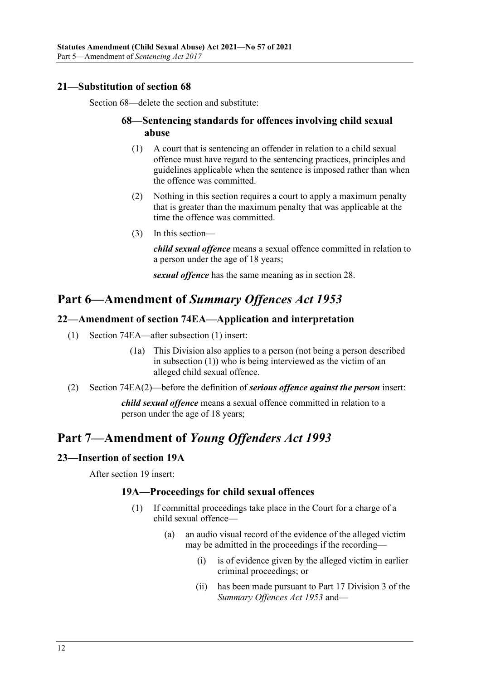### <span id="page-11-0"></span>**21—Substitution of section 68**

Section 68—delete the section and substitute:

#### **68—Sentencing standards for offences involving child sexual abuse**

- (1) A court that is sentencing an offender in relation to a child sexual offence must have regard to the sentencing practices, principles and guidelines applicable when the sentence is imposed rather than when the offence was committed.
- (2) Nothing in this section requires a court to apply a maximum penalty that is greater than the maximum penalty that was applicable at the time the offence was committed.
- (3) In this section—

*child sexual offence* means a sexual offence committed in relation to a person under the age of 18 years;

*sexual offence* has the same meaning as in section 28.

# <span id="page-11-1"></span>**Part 6—Amendment of** *Summary Offences Act 1953*

### <span id="page-11-2"></span>**22—Amendment of section 74EA—Application and interpretation**

- (1) Section 74EA—after subsection (1) insert:
	- (1a) This Division also applies to a person (not being a person described in subsection (1)) who is being interviewed as the victim of an alleged child sexual offence.
- (2) Section 74EA(2)—before the definition of *serious offence against the person* insert:

*child sexual offence* means a sexual offence committed in relation to a person under the age of 18 years;

# <span id="page-11-3"></span>**Part 7—Amendment of** *Young Offenders Act 1993*

#### <span id="page-11-4"></span>**23—Insertion of section 19A**

After section 19 insert:

#### **19A—Proceedings for child sexual offences**

- (1) If committal proceedings take place in the Court for a charge of a child sexual offence—
	- (a) an audio visual record of the evidence of the alleged victim may be admitted in the proceedings if the recording—
		- (i) is of evidence given by the alleged victim in earlier criminal proceedings; or
		- (ii) has been made pursuant to Part 17 Division 3 of the *[Summary Offences Act](http://www.legislation.sa.gov.au/index.aspx?action=legref&type=act&legtitle=Summary%20Offences%20Act%201953) 1953* and—